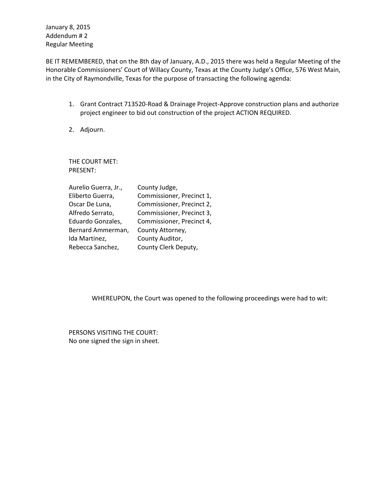January 8, 2015 Addendum # 2 Regular Meeting

BE IT REMEMBERED, that on the 8th day of January, A.D., 2015 there was held a Regular Meeting of the Honorable Commissioners' Court of Willacy County, Texas at the County Judge's Office, 576 West Main, in the City of Raymondville, Texas for the purpose of transacting the following agenda:

- 1. Grant Contract 713520-Road & Drainage Project-Approve construction plans and authorize project engineer to bid out construction of the project ACTION REQUIRED.
- 2. Adjourn.

THE COURT MET: PRESENT:

| Aurelio Guerra, Jr., | County Judge,             |
|----------------------|---------------------------|
| Eliberto Guerra,     | Commissioner, Precinct 1, |
| Oscar De Luna,       | Commissioner, Precinct 2, |
| Alfredo Serrato,     | Commissioner, Precinct 3, |
| Eduardo Gonzales,    | Commissioner, Precinct 4, |
| Bernard Ammerman,    | County Attorney,          |
| Ida Martinez,        | County Auditor,           |
| Rebecca Sanchez,     | County Clerk Deputy,      |

WHEREUPON, the Court was opened to the following proceedings were had to wit:

PERSONS VISITING THE COURT: No one signed the sign in sheet.